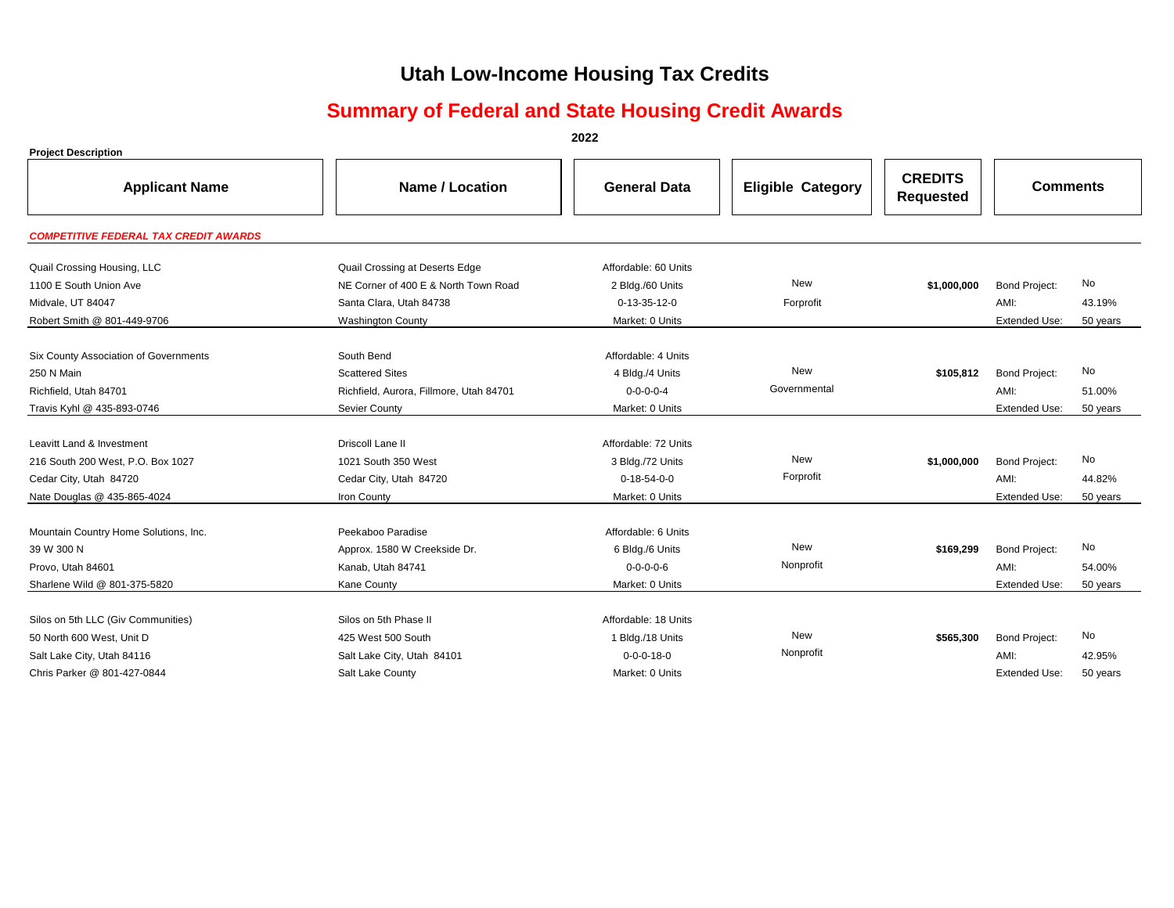# **Utah Low-Income Housing Tax Credits**

## **Summary of Federal and State Housing Credit Awards**

**2022**

| <b>Project Description</b>                   |                                         |                       |                          |                                    |                              |          |
|----------------------------------------------|-----------------------------------------|-----------------------|--------------------------|------------------------------------|------------------------------|----------|
| <b>Applicant Name</b>                        | Name / Location                         | <b>General Data</b>   | <b>Eligible Category</b> | <b>CREDITS</b><br><b>Requested</b> | <b>Comments</b>              |          |
| <b>COMPETITIVE FEDERAL TAX CREDIT AWARDS</b> |                                         |                       |                          |                                    |                              |          |
| Quail Crossing Housing, LLC                  | Quail Crossing at Deserts Edge          | Affordable: 60 Units  |                          |                                    |                              |          |
| 1100 E South Union Ave                       | NE Corner of 400 E & North Town Road    | 2 Bldg./60 Units      | <b>New</b>               | \$1,000,000                        | <b>Bond Project:</b>         | No       |
| Midvale, UT 84047                            | Santa Clara, Utah 84738                 | $0-13-35-12-0$        | Forprofit                |                                    | AMI:                         | 43.19%   |
| Robert Smith @ 801-449-9706                  | <b>Washington County</b>                | Market: 0 Units       |                          |                                    | <b>Extended Use:</b>         | 50 years |
|                                              |                                         | Affordable: 4 Units   |                          |                                    |                              |          |
| Six County Association of Governments        | South Bend                              |                       | <b>New</b>               |                                    |                              | No       |
| 250 N Main                                   | <b>Scattered Sites</b>                  | 4 Bldg./4 Units       | Governmental             | \$105.812                          | <b>Bond Project:</b><br>AMI: |          |
| Richfield, Utah 84701                        | Richfield, Aurora, Fillmore, Utah 84701 | $0 - 0 - 0 - 0 - 4$   |                          |                                    |                              | 51.00%   |
| Travis Kyhl @ 435-893-0746                   | Sevier County                           | Market: 0 Units       |                          |                                    | <b>Extended Use:</b>         | 50 years |
| Leavitt Land & Investment                    | Driscoll Lane II                        | Affordable: 72 Units  |                          |                                    |                              |          |
| 216 South 200 West, P.O. Box 1027            | 1021 South 350 West                     | 3 Bldg./72 Units      | <b>New</b>               | \$1,000,000                        | <b>Bond Project:</b>         | No       |
| Cedar City, Utah 84720                       | Cedar City, Utah 84720                  | $0 - 18 - 54 - 0 - 0$ | Forprofit                |                                    | AMI:                         | 44.82%   |
| Nate Douglas @ 435-865-4024                  | Iron County                             | Market: 0 Units       |                          |                                    | <b>Extended Use:</b>         | 50 years |
|                                              |                                         |                       |                          |                                    |                              |          |
| Mountain Country Home Solutions, Inc.        | Peekaboo Paradise                       | Affordable: 6 Units   |                          |                                    |                              |          |
| 39 W 300 N                                   | Approx. 1580 W Creekside Dr.            | 6 Bldg./6 Units       | <b>New</b>               | \$169,299                          | <b>Bond Project:</b>         | No       |
| Provo, Utah 84601                            | Kanab, Utah 84741                       | $0 - 0 - 0 - 6$       | Nonprofit                |                                    | AMI:                         | 54.00%   |
| Sharlene Wild @ 801-375-5820                 | Kane County                             | Market: 0 Units       |                          |                                    | <b>Extended Use:</b>         | 50 years |
|                                              |                                         |                       |                          |                                    |                              |          |
| Silos on 5th LLC (Giv Communities)           | Silos on 5th Phase II                   | Affordable: 18 Units  |                          |                                    |                              |          |
| 50 North 600 West, Unit D                    | 425 West 500 South                      | 1 Bldg./18 Units      | New                      | \$565,300                          | <b>Bond Project:</b>         | No       |
| Salt Lake City, Utah 84116                   | Salt Lake City, Utah 84101              | $0 - 0 - 0 - 18 - 0$  | Nonprofit                |                                    | AMI:                         | 42.95%   |
| Chris Parker @ 801-427-0844                  | Salt Lake County                        | Market: 0 Units       |                          |                                    | <b>Extended Use:</b>         | 50 years |